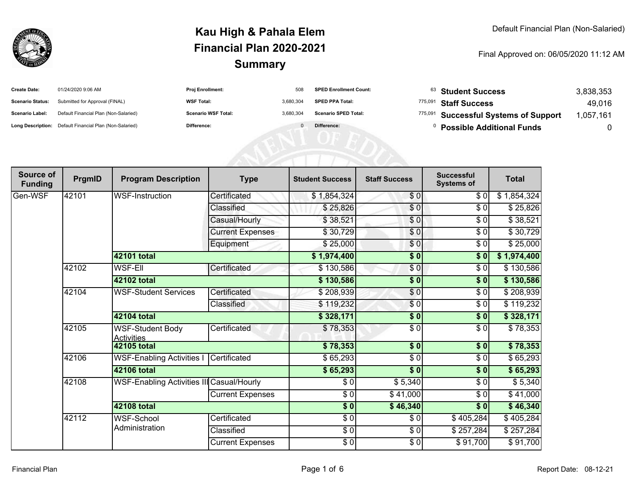

| <b>Create Date:</b>     | 01/24/2020 9:06 AM                                      | <b>Proj Enrollment:</b>    | 508       | <b>SPED Enrollment Count:</b> | $^{63}$ Student Success               | 3,838,353 |
|-------------------------|---------------------------------------------------------|----------------------------|-----------|-------------------------------|---------------------------------------|-----------|
| <b>Scenario Status:</b> | Submitted for Approval (FINAL)                          | <b>WSF Total:</b>          | 3.680.304 | <b>SPED PPA Total:</b>        | 775,091 Staff Success                 | 49.016    |
| Scenario Label:         | Default Financial Plan (Non-Salaried)                   | <b>Scenario WSF Total:</b> | 3.680.304 | <b>Scenario SPED Total:</b>   | 775,091 Successful Systems of Support | ,057,161  |
|                         | Long Description: Default Financial Plan (Non-Salaried) | Difference:                |           | Difference:                   | <b>Possible Additional Funds</b>      |           |

| Source of<br><b>Funding</b> | PrgmID | <b>Program Description</b>                   | <b>Type</b>             | <b>Student Success</b> | <b>Staff Success</b> | <b>Successful</b><br><b>Systems of</b> | <b>Total</b> |
|-----------------------------|--------|----------------------------------------------|-------------------------|------------------------|----------------------|----------------------------------------|--------------|
| Gen-WSF                     | 42101  | <b>WSF-Instruction</b>                       | Certificated            | \$1,854,324            | \$0]                 | \$0                                    | \$1,854,324  |
|                             |        |                                              | Classified              | \$25,826               | $\frac{6}{6}$        | \$0                                    | \$25,826     |
|                             |        |                                              | Casual/Hourly           | \$38,521               | \$0                  | \$0                                    | \$38,521     |
|                             |        |                                              | <b>Current Expenses</b> | \$30,729               | \$0                  | \$0                                    | \$30,729     |
|                             |        |                                              | Equipment               | \$25,000               | \$0                  | \$0                                    | \$25,000     |
|                             |        | 42101 total                                  |                         | \$1,974,400            | $\frac{1}{6}$        | \$0                                    | \$1,974,400  |
|                             | 42102  | <b>WSF-Ell</b>                               | Certificated            | \$130,586              | $\frac{6}{6}$        | \$0                                    | \$130,586    |
|                             |        | 42102 total                                  |                         | \$130,586              | \$0                  | \$0                                    | \$130,586    |
|                             | 42104  | <b>WSF-Student Services</b>                  | Certificated            | \$208,939              | \$0                  | \$0                                    | \$208,939    |
|                             |        |                                              | Classified              | \$119,232              | \$0                  | \$0                                    | \$119,232    |
|                             |        | 42104 total                                  |                         | \$328,171              | \$0                  | \$0                                    | \$328,171    |
|                             | 42105  | <b>WSF-Student Body</b><br><b>Activities</b> | Certificated            | \$78,353               | \$ 0                 | \$0                                    | \$78,353     |
|                             |        | <b>42105 total</b>                           |                         | \$78,353               | $\overline{\$0}$     | \$0                                    | \$78,353     |
|                             | 42106  | <b>WSF-Enabling Activities I</b>             | Certificated            | \$65,293               | $\sqrt{6}$           | $\sqrt{6}$                             | \$65,293     |
|                             |        | <b>42106 total</b>                           |                         | \$65,293               | $\overline{\$0}$     | $\overline{\$0}$                       | \$65,293     |
|                             | 42108  | WSF-Enabling Activities III Casual/Hourly    |                         | \$0                    | \$5,340              | $\sqrt{6}$                             | \$5,340      |
|                             |        |                                              | <b>Current Expenses</b> | $\frac{3}{6}$          | \$41,000             | \$0                                    | \$41,000     |
|                             |        | <b>42108 total</b>                           |                         | $\overline{\$0}$       | \$46,340             | \$0                                    | \$46,340     |
|                             | 42112  | <b>WSF-School</b>                            | Certificated            | $\frac{3}{6}$          | \$0                  | \$405,284                              | \$405,284    |
|                             |        | Administration                               | Classified              | $\frac{1}{6}$          | $\frac{1}{6}$        | \$257,284                              | \$257,284    |
|                             |        |                                              | <b>Current Expenses</b> | $\frac{6}{6}$          | $\frac{1}{6}$        | $\sqrt{$91,700}$                       | \$91,700     |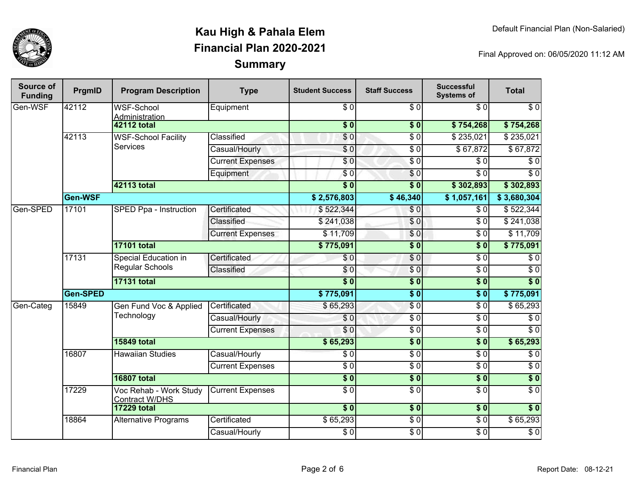

| Source of<br><b>Funding</b> | PrgmID          | <b>Program Description</b>                      | <b>Type</b>             | <b>Student Success</b>    | <b>Staff Success</b> | <b>Successful</b><br><b>Systems of</b> | <b>Total</b>     |                  |
|-----------------------------|-----------------|-------------------------------------------------|-------------------------|---------------------------|----------------------|----------------------------------------|------------------|------------------|
| Gen-WSF                     | 42112           | <b>WSF-School</b><br>Administration             | Equipment               | $\sqrt{6}$                | $\overline{30}$      | $\overline{\$0}$                       | $\sqrt{6}$       |                  |
|                             |                 | <b>42112 total</b>                              |                         | $\overline{\textbf{S}^0}$ | \$0                  | \$754,268                              | \$754,268        |                  |
|                             | 42113           | <b>WSF-School Facility</b>                      | Classified              | \$0                       | $\overline{\$0}$     | \$235,021                              | \$235,021        |                  |
|                             |                 | <b>Services</b>                                 | Casual/Hourly           | \$0                       | $\overline{\$0}$     | \$67,872                               | \$67,872         |                  |
|                             |                 |                                                 | <b>Current Expenses</b> | $\overline{\$0}$          | $\overline{\$0}$     | $\overline{\$0}$                       | $\overline{\$0}$ |                  |
|                             |                 |                                                 | Equipment               | \$0                       | \$0                  | \$0                                    | $\overline{\$0}$ |                  |
|                             |                 | 42113 total                                     |                         | $\overline{\$0}$          | $\overline{\$0}$     | \$302,893                              | \$302,893        |                  |
|                             | Gen-WSF         |                                                 |                         | \$2,576,803               | \$46,340             | \$1,057,161                            | \$3,680,304      |                  |
| Gen-SPED                    | 17101           | SPED Ppa - Instruction                          | Certificated            | \$522,344                 | \$0                  | \$0                                    | \$522,344        |                  |
|                             |                 |                                                 | Classified              | \$241,038                 | $\overline{S}0$      | $\overline{\$0}$                       | \$241,038        |                  |
|                             |                 |                                                 | <b>Current Expenses</b> | \$11,709                  | $\sqrt{0}$           | $\overline{\$0}$                       | $\sqrt{$11,709}$ |                  |
|                             |                 | <b>17101 total</b>                              |                         | \$775,091                 | $\overline{\$0}$     | $\overline{\$}0$                       | \$775,091        |                  |
|                             | 17131           | Special Education in<br><b>Regular Schools</b>  | Certificated            | \$0                       | $\overline{\$0}$     | $\overline{\$0}$                       | \$0              |                  |
|                             |                 |                                                 | Classified              | \$0                       | $\sqrt{0}$           | $\overline{\$0}$                       | $\overline{\$0}$ |                  |
|                             |                 | <b>17131 total</b>                              |                         | $\overline{\$0}$          | $\overline{\$0}$     | $\overline{\textbf{50}}$               | $\overline{\$0}$ |                  |
|                             | <b>Gen-SPED</b> |                                                 |                         | \$775,091                 | $\overline{\$0}$     | $\overline{\$0}$                       | \$775,091        |                  |
| Gen-Categ                   | 15849           | Gen Fund Voc & Applied                          | Certificated            | \$65,293                  | $\overline{\$0}$     | $\overline{\$0}$                       | \$65,293         |                  |
|                             |                 | Technology                                      |                         | Casual/Hourly             | \$0                  | $\overline{\$0}$                       | $\overline{\$0}$ | $\overline{\$0}$ |
|                             |                 |                                                 |                         | <b>Current Expenses</b>   | \$0                  | $\overline{\$0}$                       | $\overline{\$0}$ | $\overline{\$0}$ |
|                             |                 | <b>15849 total</b>                              |                         | \$65,293                  | $\overline{\$0}$     | $\overline{\$}0$                       | \$65,293         |                  |
|                             | 16807           | <b>Hawaiian Studies</b>                         | Casual/Hourly           | $\overline{\$0}$          | $\overline{\$0}$     | $\overline{\$0}$                       | $\overline{\$0}$ |                  |
|                             |                 |                                                 | <b>Current Expenses</b> | $\overline{\$0}$          | $\overline{\$0}$     | $\overline{\$0}$                       | $\overline{\$0}$ |                  |
|                             |                 | <b>16807 total</b>                              |                         | $\overline{\$0}$          | $\overline{\$0}$     | $\overline{\textbf{50}}$               | $\sqrt{6}$       |                  |
|                             | 17229           | Voc Rehab - Work Study<br><b>Contract W/DHS</b> | <b>Current Expenses</b> | $\overline{\$0}$          | $\overline{\$0}$     | $\overline{\$0}$                       | $\overline{\$0}$ |                  |
|                             |                 | <b>17229 total</b>                              |                         | $\overline{\$0}$          | \$0                  | $\overline{\$0}$                       | $\overline{\$0}$ |                  |
|                             | 18864           | <b>Alternative Programs</b>                     | Certificated            | \$65,293                  | $\sqrt{6}$           | $\overline{\$0}$                       | \$65,293         |                  |
|                             |                 |                                                 | Casual/Hourly           | $\sqrt{6}$                | $\sqrt{6}$           | $\sqrt{6}$                             | $\sqrt{6}$       |                  |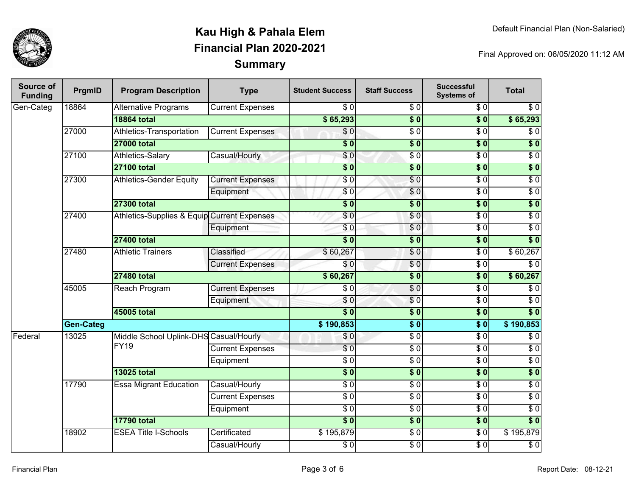

| Source of<br><b>Funding</b> | PrgmID               | <b>Program Description</b>                  | <b>Type</b>             | <b>Student Success</b> | <b>Staff Success</b> | <b>Successful</b><br><b>Systems of</b> | <b>Total</b>     |
|-----------------------------|----------------------|---------------------------------------------|-------------------------|------------------------|----------------------|----------------------------------------|------------------|
| Gen-Categ                   | 18864                | <b>Alternative Programs</b>                 | <b>Current Expenses</b> | \$0                    | \$0                  | \$0                                    | \$0              |
|                             |                      | <b>18864 total</b>                          |                         | \$65,293               | $\overline{\$0}$     | $\overline{\$0}$                       | \$65,293         |
|                             | 27000                | <b>Athletics-Transportation</b>             | <b>Current Expenses</b> | $\sqrt{6}$             | $\sqrt{6}$           | $\overline{\$0}$                       | $\sqrt{6}$       |
|                             |                      | <b>27000 total</b>                          |                         | $\overline{\$0}$       | $\overline{\$0}$     | $\overline{\$0}$                       | $\overline{\$0}$ |
|                             | 27100                | <b>Athletics-Salary</b>                     | Casual/Hourly           | \$0                    | $\overline{\$0}$     | $\overline{\$0}$                       | $\overline{30}$  |
|                             |                      | <b>27100 total</b>                          |                         | $\overline{\$0}$       | $\overline{\$0}$     | $\overline{\$0}$                       | $\overline{\$0}$ |
|                             | 27300                | <b>Athletics-Gender Equity</b>              | <b>Current Expenses</b> | $\sqrt{6}$             | $\sqrt{6}$           | $\overline{30}$                        | $\sqrt{6}$       |
|                             |                      |                                             | Equipment               | \$0                    | $\overline{\$0}$     | $\overline{\$0}$                       | $\overline{\$0}$ |
|                             |                      | <b>27300 total</b>                          |                         | $\overline{\$0}$       | $\overline{\$0}$     | $\overline{\$0}$                       | $\overline{\$0}$ |
|                             | 27400                | Athletics-Supplies & Equip Current Expenses |                         | \$0                    | \$0                  | $\overline{\$0}$                       | $\overline{30}$  |
|                             |                      |                                             | Equipment               | $\overline{S}0$        | \$0                  | $\overline{30}$                        | $\overline{60}$  |
|                             |                      | <b>27400 total</b>                          |                         | $\overline{\$0}$       | $\overline{\$0}$     | $\overline{\$0}$                       | $\overline{\$0}$ |
|                             | 27480                | <b>Athletic Trainers</b>                    | Classified              | \$60,267               | \$0                  | $\overline{30}$                        | \$60,267         |
|                             |                      |                                             | <b>Current Expenses</b> | \$0                    | $\overline{S}0$      | $\overline{30}$                        | $\overline{\$0}$ |
|                             |                      | <b>27480 total</b>                          |                         | \$60,267               | $\overline{\$0}$     | \$0                                    | \$60,267         |
|                             | 45005                | Reach Program                               | <b>Current Expenses</b> | \$0                    | $\overline{\$0}$     | $\overline{\$0}$                       | \$0              |
|                             |                      |                                             | Equipment               | \$0                    | \$0                  | $\overline{\$0}$                       | $\sqrt{6}$       |
|                             |                      | 45005 total                                 |                         | $\overline{\$0}$       | $\overline{\$0}$     | $\overline{\$0}$                       | $\overline{\$0}$ |
|                             | <b>Gen-Categ</b>     |                                             |                         | \$190,853              | $\overline{\$0}$     | $\overline{\$0}$                       | \$190,853        |
| Federal                     | 13025<br><b>FY19</b> | Middle School Uplink-DHS Casual/Hourly      |                         | $\overline{\$0}$       | $\overline{50}$      | $\overline{30}$                        | $\overline{30}$  |
|                             |                      |                                             | <b>Current Expenses</b> | $\overline{\$0}$       | $\overline{50}$      | $\overline{30}$                        | $\overline{\$0}$ |
|                             |                      |                                             | Equipment               | $\overline{\$0}$       | $\overline{\$0}$     | $\overline{\$0}$                       | $\overline{60}$  |
|                             |                      | <b>13025 total</b>                          |                         | $\overline{\$0}$       | $\overline{\$0}$     | $\overline{\$0}$                       | $\overline{\$0}$ |
|                             | 17790                | <b>Essa Migrant Education</b>               | Casual/Hourly           | $\overline{\$0}$       | $\overline{\$0}$     | $\overline{30}$                        | $\overline{\$0}$ |
|                             |                      |                                             | <b>Current Expenses</b> | $\overline{30}$        | $\overline{30}$      | $\overline{30}$                        | $\overline{30}$  |
|                             |                      |                                             | Equipment               | $\overline{\$0}$       | $\overline{50}$      | $\overline{\$0}$                       | $\overline{30}$  |
|                             |                      | <b>17790 total</b>                          |                         | $\overline{\$0}$       | $\overline{\$0}$     | $\overline{\$0}$                       | $\overline{\$0}$ |
|                             | 18902                | <b>ESEA Title I-Schools</b>                 | Certificated            | \$195,879              | $\overline{50}$      | $\overline{\$0}$                       | \$195,879        |
|                             |                      |                                             | Casual/Hourly           | $\overline{\$0}$       | $\overline{S}0$      | $\overline{30}$                        | $\overline{60}$  |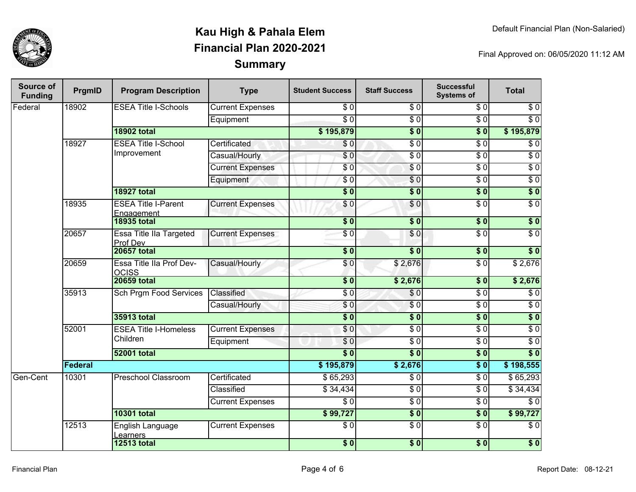

| Source of<br><b>Funding</b> | PrgmID  | <b>Program Description</b>                 | <b>Type</b>                  | <b>Student Success</b>  | <b>Staff Success</b> | <b>Successful</b><br><b>Systems of</b> | <b>Total</b>     |                  |
|-----------------------------|---------|--------------------------------------------|------------------------------|-------------------------|----------------------|----------------------------------------|------------------|------------------|
| Federal                     | 18902   | <b>ESEA Title I-Schools</b>                | <b>Current Expenses</b>      | \$0                     | \$0                  | \$0                                    | \$0              |                  |
|                             |         |                                            | Equipment                    | $\overline{\$0}$        | $\overline{30}$      | $\overline{\$0}$                       | $\overline{\$0}$ |                  |
|                             |         | <b>18902 total</b>                         |                              | \$195,879               | $\overline{\$0}$     | $\overline{\$0}$                       | \$195,879        |                  |
|                             | 18927   | <b>ESEA Title I-School</b><br>Improvement  | Certificated                 | \$0                     | $\overline{S}0$      | $\overline{\$0}$                       | $\overline{\$0}$ |                  |
|                             |         |                                            | Casual/Hourly                | \$0                     | $\overline{\$0}$     | $\overline{\$0}$                       | $\overline{\$0}$ |                  |
|                             |         |                                            | <b>Current Expenses</b>      | \$0                     | $\overline{S}0$      | $\overline{\$0}$                       | $\overline{30}$  |                  |
|                             |         |                                            | Equipment                    | $\sqrt{6}$              | \$0                  | $\overline{S}0$                        | $\overline{30}$  |                  |
|                             |         | <b>18927 total</b>                         |                              | $\overline{\$0}$        | $\overline{\$0}$     | $\overline{\$0}$                       | $\overline{\$0}$ |                  |
|                             | 18935   | <b>ESEA Title I-Parent</b><br>Engagement   | <b>Current Expenses</b>      | \$0                     | \$0                  | $\overline{\$0}$                       | $\overline{60}$  |                  |
|                             |         | <b>18935 total</b>                         |                              | $\overline{\$0}$        | $\overline{\$0}$     | $\overline{\textbf{50}}$               | \$0              |                  |
|                             | 20657   | <b>Essa Title IIa Targeted</b><br>Prof Dev | <b>Current Expenses</b>      | \$0                     | $\sqrt{0}$           | $\overline{\$0}$                       | $\overline{\$0}$ |                  |
|                             |         | <b>20657 total</b>                         |                              | $\overline{\$0}$        | $\overline{\$0}$     | $\overline{\$0}$                       | $\overline{\$0}$ |                  |
|                             | 20659   | Essa Title IIa Prof Dev-<br><b>OCISS</b>   | Casual/Hourly                | \$0                     | \$2,676              | $\sqrt{6}$                             | \$2,676          |                  |
|                             |         | <b>20659 total</b>                         |                              | $\overline{\$0}$        | \$2,676              | $\overline{\$0}$                       | \$2,676          |                  |
|                             | 35913   | <b>Sch Prgm Food Services</b>              | Classified                   | $\overline{S}0$         | $\overline{\$0}$     | $\overline{\$0}$                       | $\sqrt{6}$       |                  |
|                             |         |                                            | Casual/Hourly                | \$0                     | $\sqrt{6}$           | $\overline{\$0}$                       | $\overline{\$0}$ |                  |
|                             |         | 35913 total                                |                              | $\overline{\$0}$        | $\overline{\$0}$     | $\overline{\$0}$                       | $\overline{\$0}$ |                  |
|                             | 52001   |                                            | <b>ESEA Title I-Homeless</b> | <b>Current Expenses</b> | \$0                  | $\overline{30}$                        | $\overline{\$0}$ | $\overline{\$0}$ |
|                             |         | Children                                   | Equipment                    | \$0                     | $\overline{30}$      | $\overline{\$0}$                       | $\overline{30}$  |                  |
|                             |         | <b>52001 total</b>                         |                              | $\overline{\$0}$        | $\overline{\$0}$     | $\overline{\$0}$                       | $\overline{\$0}$ |                  |
|                             | Federal |                                            |                              | \$195,879               | \$2,676              | $\overline{\$0}$                       | \$198,555        |                  |
| Gen-Cent                    | 10301   | <b>Preschool Classroom</b>                 | Certificated                 | \$65,293                | $\overline{\$0}$     | $\overline{\$0}$                       | \$65,293         |                  |
|                             |         |                                            | Classified                   | \$34,434                | $\overline{30}$      | $\overline{\$0}$                       | \$34,434         |                  |
|                             |         |                                            | <b>Current Expenses</b>      | \$0                     | $\overline{\$0}$     | \$0                                    | \$0              |                  |
|                             |         | <b>10301 total</b>                         |                              | \$99,727                | $\overline{\$0}$     | \$0                                    | \$99,727         |                  |
|                             | 12513   | English Language<br>Learners               | <b>Current Expenses</b>      | $\overline{\$0}$        | $\overline{30}$      | $\overline{\$0}$                       | $\overline{\$0}$ |                  |
|                             |         | <b>12513 total</b>                         |                              | \$0                     | \$0                  | \$0                                    | $\overline{\$0}$ |                  |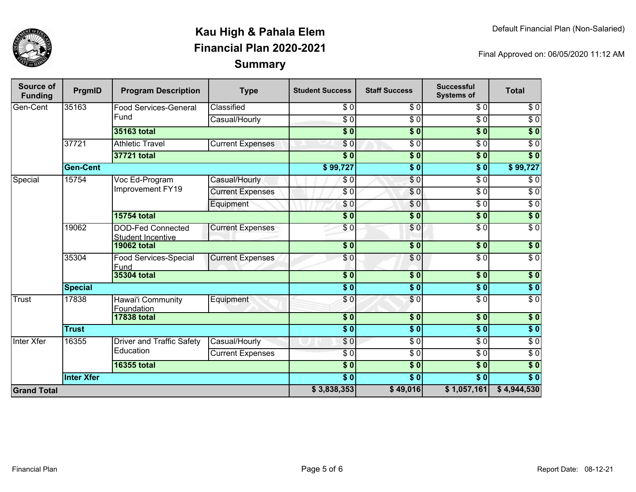

| Source of<br><b>Funding</b> | PrgmID            | <b>Program Description</b>                           | <b>Type</b>             | <b>Student Success</b> | <b>Staff Success</b>       | <b>Successful</b><br><b>Systems of</b> | <b>Total</b>     |
|-----------------------------|-------------------|------------------------------------------------------|-------------------------|------------------------|----------------------------|----------------------------------------|------------------|
| Gen-Cent                    | 35163             | <b>Food Services-General</b>                         | Classified              | \$0                    | \$0                        | $\overline{30}$                        | \$0              |
|                             |                   | Fund                                                 | Casual/Hourly           | $\overline{\$0}$       | $\sqrt{6}$                 | $\overline{\$0}$                       | $\sqrt{6}$       |
|                             |                   | <b>35163 total</b>                                   |                         | $\overline{\$0}$       | $\overline{\$0}$           | $\overline{\bullet}$ 0                 | $\sqrt{50}$      |
|                             | 37721             | <b>Athletic Travel</b>                               | <b>Current Expenses</b> | \$0                    | \$ 0                       | $\overline{\$0}$                       | $\overline{60}$  |
|                             |                   | 37721 total                                          |                         | $\overline{\bullet}$ 0 | $\frac{1}{2}$              | \$0]                                   | $\overline{\$0}$ |
|                             | <b>Gen-Cent</b>   |                                                      |                         | \$99,727               | $\overline{\$0}$           | $\overline{\bullet}$ 0                 | \$99,727         |
| Special                     | 15754             | Voc Ed-Program                                       | Casual/Hourly           | \$0                    | $\sqrt{0}$                 | $\overline{\$0}$                       | $\sqrt{6}$       |
|                             |                   | Improvement FY19                                     | <b>Current Expenses</b> | \$0                    | $\sqrt{0}$                 | $\overline{\$0}$                       | $\overline{\$0}$ |
|                             |                   |                                                      | Equipment               | \$0                    | \$0                        | $\overline{\$0}$                       | $\overline{\$0}$ |
|                             |                   | <b>15754 total</b>                                   |                         | $\overline{\$0}$       | $\overline{\$0}$           | $\overline{\bullet}$ 0                 | $\overline{\$0}$ |
|                             | 19062             | <b>DOD-Fed Connected</b><br><b>Student Incentive</b> | <b>Current Expenses</b> | \$0                    | $\frac{6}{3}$              | $\overline{30}$                        | $\overline{S}0$  |
|                             |                   | <b>19062 total</b>                                   |                         | $\overline{\bullet}$   | $\overline{\phantom{0}30}$ | $\overline{\$0}$                       | $\sqrt{6}$       |
|                             | 35304             | <b>Food Services-Special</b><br>Fund                 | <b>Current Expenses</b> | $\sqrt{6}$             | $\sqrt{6}$                 | $\overline{\$0}$                       | $\overline{\$0}$ |
|                             |                   | <b>35304 total</b>                                   |                         | $\overline{\$0}$       | \$0                        | $\sqrt{6}$                             | \$0              |
|                             | <b>Special</b>    |                                                      |                         | $\overline{\bullet}$ 0 | $\overline{\$0}$           | $\overline{\$0}$                       | \$0              |
| Trust                       | 17838             | Hawai'i Community<br><b>Foundation</b>               | Equipment               | \$0                    | \$0                        | $\sqrt{6}$                             | $\sqrt{6}$       |
|                             |                   | <b>17838 total</b>                                   |                         | $\overline{\$0}$       | $\sqrt{6}$                 | $\overline{\$0}$                       | $\overline{\$0}$ |
|                             | <b>Trust</b>      |                                                      |                         | $\overline{\bullet}$ 0 | $\sqrt{6}$                 | $\overline{\$0}$                       | $\sqrt{6}$       |
| Inter Xfer                  | 16355             | <b>Driver and Traffic Safety</b>                     | Casual/Hourly           | \$0                    | $\overline{\$0}$           | $\overline{S}0$                        | $\sqrt{6}$       |
|                             |                   | Education                                            | <b>Current Expenses</b> | $\overline{\$0}$       | $\overline{\$0}$           | $\overline{\$0}$                       | $\overline{\$0}$ |
|                             |                   | <b>16355 total</b>                                   |                         | $\overline{\$0}$       | $\overline{\$0}$           | $\overline{\$0}$                       | $\sqrt{50}$      |
|                             | <b>Inter Xfer</b> |                                                      |                         | $\overline{\$0}$       | $\overline{\$0}$           | $\overline{\$0}$                       | $\overline{\$0}$ |
| <b>Grand Total</b>          |                   |                                                      |                         | \$3,838,353            | \$49,016                   | \$1,057,161                            | \$4,944,530      |